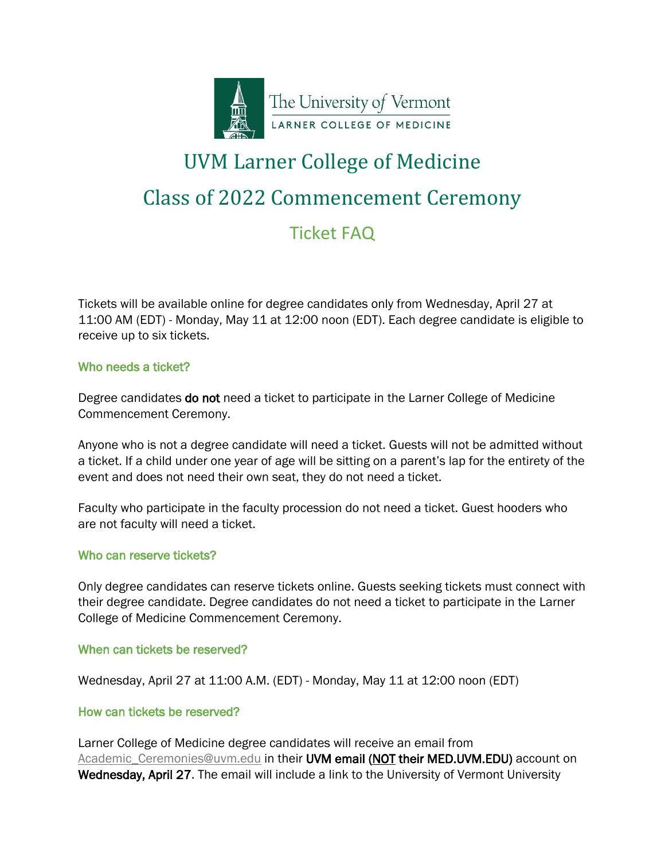

# UVM Larner College of Medicine Class of 2022 Commencement Ceremony Ticket FAQ

Tickets will be available online for degree candidates only from Wednesday, April 27 at 11:00 AM (EDT) - Monday, May 11 at 12:00 noon (EDT). Each degree candidate is eligible to receive up to six tickets.

## Who needs a ticket?

Degree candidates **do not** need a ticket to participate in the Larner College of Medicine Commencement Ceremony.

Anyone who is not a degree candidate will need a ticket. Guests will not be admitted without a ticket. If a child under one year of age will be sitting on a parent's lap for the entirety of the event and does not need their own seat, they do not need a ticket.

Faculty who participate in the faculty procession do not need a ticket. Guest hooders who are not faculty will need a ticket.

## Who can reserve tickets?

Only degree candidates can reserve tickets online. Guests seeking tickets must connect with their degree candidate. Degree candidates do not need a ticket to participate in the Larner College of Medicine Commencement Ceremony.

#### When can tickets be reserved?

Wednesday, April 27 at 11:00 A.M. (EDT) - Monday, May 11 at 12:00 noon (EDT)

## How can tickets be reserved?

Larner College of Medicine degree candidates will receive an email from Academic Ceremonies@uvm.edu in their UVM email (NOT their MED.UVM.EDU) account on Wednesday, April 27. The email will include a link to the University of Vermont University